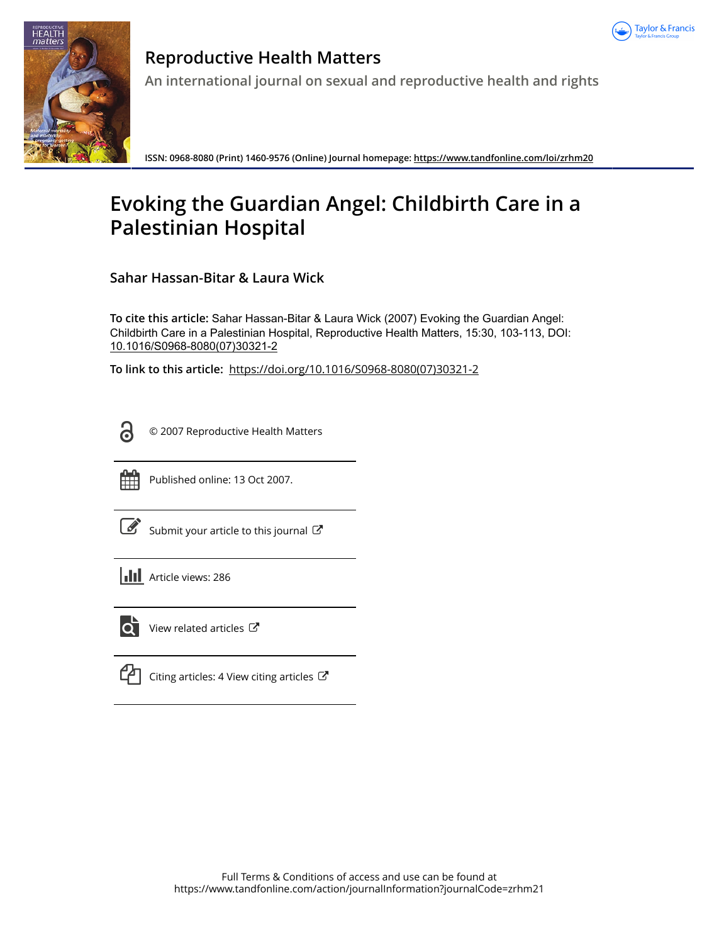



# **Reproductive Health Matters An international journal on sexual and reproductive health and rights**

**ISSN: 0968-8080 (Print) 1460-9576 (Online) Journal homepage:<https://www.tandfonline.com/loi/zrhm20>**

# **Evoking the Guardian Angel: Childbirth Care in a Palestinian Hospital**

**Sahar Hassan-Bitar & Laura Wick**

**To cite this article:** Sahar Hassan-Bitar & Laura Wick (2007) Evoking the Guardian Angel: Childbirth Care in a Palestinian Hospital, Reproductive Health Matters, 15:30, 103-113, DOI: [10.1016/S0968-8080\(07\)30321-2](https://www.tandfonline.com/action/showCitFormats?doi=10.1016/S0968-8080(07)30321-2)

**To link to this article:** [https://doi.org/10.1016/S0968-8080\(07\)30321-2](https://doi.org/10.1016/S0968-8080(07)30321-2)

.<br>ი

© 2007 Reproductive Health Matters



Published online: 13 Oct 2007.

[Submit your article to this journal](https://www.tandfonline.com/action/authorSubmission?journalCode=zrhm21&show=instructions)  $\mathbb{Z}$ 

**III** Article views: 286



 $\overline{Q}$  [View related articles](https://www.tandfonline.com/doi/mlt/10.1016/S0968-8080(07)30321-2)  $\overline{C}$ 

[Citing articles: 4 View citing articles](https://www.tandfonline.com/doi/citedby/10.1016/S0968-8080(07)30321-2#tabModule)  $\mathbb{Z}$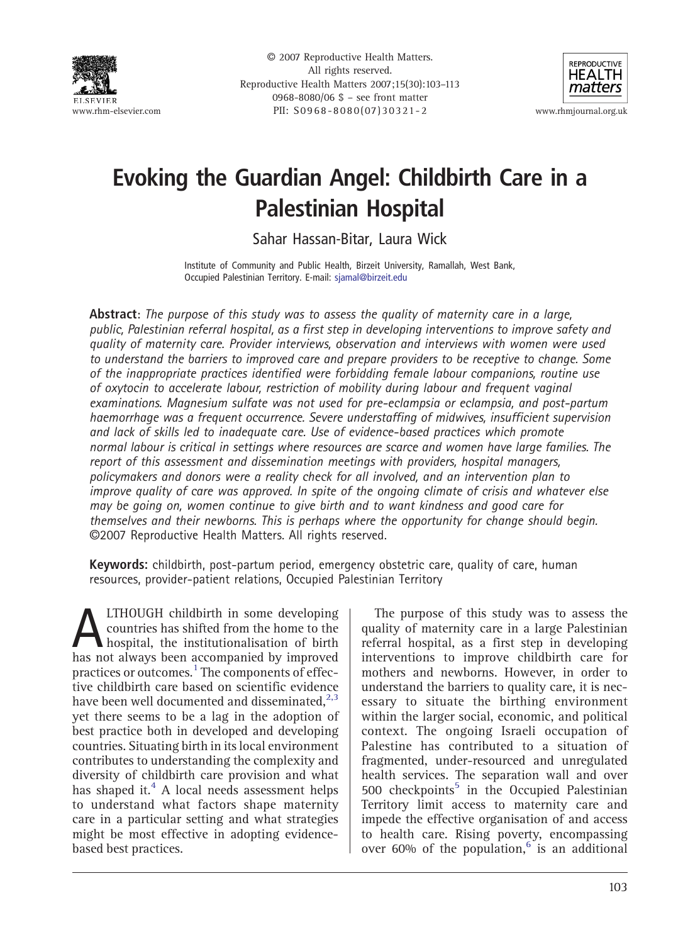

 $Q$  2007 Reproductive Health Matters. All rights reserved. Reproductive Health Matters 2007;15(30):103–113 0968-8080/06 \$ – see front matter www.rhm-elsevier.com PII: S0968-8080(07)30321-2 www.rhmjournal.org.uk



# Evoking the Guardian Angel: Childbirth Care in a Palestinian Hospital

Sahar Hassan-Bitar, Laura Wick

Institute of Community and Public Health, Birzeit University, Ramallah, West Bank, Occupied Palestinian Territory. E-mail: [sjamal@birzeit.edu](mailto:sjamal@birzeit.edu)

Abstract: The purpose of this study was to assess the quality of maternity care in a large, public, Palestinian referral hospital, as a first step in developing interventions to improve safety and quality of maternity care. Provider interviews, observation and interviews with women were used to understand the barriers to improved care and prepare providers to be receptive to change. Some of the inappropriate practices identified were forbidding female labour companions, routine use of oxytocin to accelerate labour, restriction of mobility during labour and frequent vaginal examinations. Magnesium sulfate was not used for pre-eclampsia or eclampsia, and post-partum haemorrhage was a frequent occurrence. Severe understaffing of midwives, insufficient supervision and lack of skills led to inadequate care. Use of evidence-based practices which promote normal labour is critical in settings where resources are scarce and women have large families. The report of this assessment and dissemination meetings with providers, hospital managers, policymakers and donors were a reality check for all involved, and an intervention plan to improve quality of care was approved. In spite of the ongoing climate of crisis and whatever else may be going on, women continue to give birth and to want kindness and good care for themselves and their newborns. This is perhaps where the opportunity for change should begin. ©2007 Reproductive Health Matters. All rights reserved.

Keywords: childbirth, post-partum period, emergency obstetric care, quality of care, human resources, provider-patient relations, Occupied Palestinian Territory

**ALTHOUGH childbirth in some developing**<br>
countries has shifted from the home to the<br>
hospital, the institutionalisation of birth<br>
has not always been accompanied by improved countries has shifted from the home to the has not always been accompanied by improved practices or outcomes. $<sup>1</sup>$  $<sup>1</sup>$  $<sup>1</sup>$  The components of effec-</sup> tive childbirth care based on scientific evidence have been well documented and disseminated,<sup>[2,3](#page-10-0)</sup> yet there seems to be a lag in the adoption of best practice both in developed and developing countries. Situating birth in its local environment contributes to understanding the complexity and diversity of childbirth care provision and what has shaped it. $4$  A local needs assessment helps to understand what factors shape maternity care in a particular setting and what strategies might be most effective in adopting evidencebased best practices.

The purpose of this study was to assess the quality of maternity care in a large Palestinian referral hospital, as a first step in developing interventions to improve childbirth care for mothers and newborns. However, in order to understand the barriers to quality care, it is necessary to situate the birthing environment within the larger social, economic, and political context. The ongoing Israeli occupation of Palestine has contributed to a situation of fragmented, under-resourced and unregulated health services. [Th](#page-10-0)e separation wall and over 500 checkpoints<sup>5</sup> in the Occupied Palestinian Territory limit access to maternity care and impede the effective organisation of and access to health care. Rising poverty, encompassing over [6](#page-10-0)0% of the population,<sup>6</sup> is an additional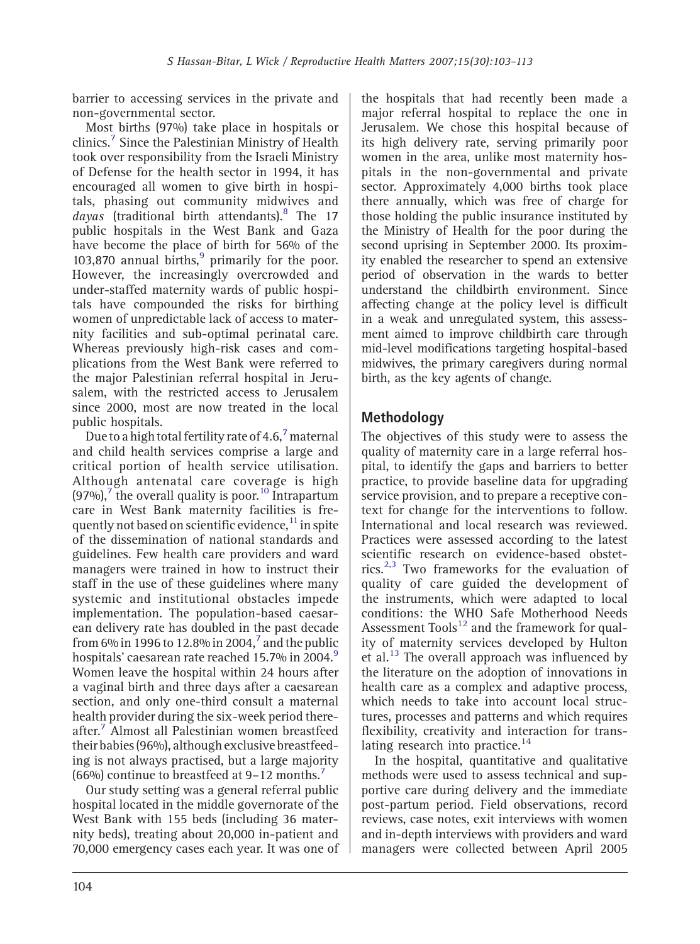barrier to accessing services in the private and non-governmental sector.

Most births (97%) take place in hospitals or clinics.[7](#page-10-0) Since the Palestinian Ministry of Health took over responsibility from the Israeli Ministry of Defense for the health sector in 1994, it has encouraged all women to give birth in hospitals, phasing out community midwives and  $davas$  (traditional birth attendants).<sup>[8](#page-10-0)</sup> The 17 public hospitals in the West Bank and Gaza have become the plac[e o](#page-10-0)f birth for 56% of the 103,870 annual births, $9$  primarily for the poor. However, the increasingly overcrowded and under-staffed maternity wards of public hospitals have compounded the risks for birthing women of unpredictable lack of access to maternity facilities and sub-optimal perinatal care. Whereas previously high-risk cases and complications from the West Bank were referred to the major Palestinian referral hospital in Jerusalem, with the restricted access to Jerusalem since 2000, most are now treated in the local public hospitals.

Due to a high total fertility rate of 4.6,<sup>7</sup> maternal and child health services comprise a large and critical portion of health service utilisation. Although antenatal care coverage is high  $(97\%)$  $(97\%)$  $(97\%)$ , the overall quality is poor.<sup>[10](#page-10-0)</sup> Intrapartum care in West Bank maternity facilities is frequently not based on scientific evidence, $^{11}$  $^{11}$  $^{11}$  in spite of the dissemination of national standards and guidelines. Few health care providers and ward managers were trained in how to instruct their staff in the use of these guidelines where many systemic and institutional obstacles impede implementation. The population-based caesarean delivery rate has doubled in [the](#page-10-0) past decade from 6% in 1996 to 12.8% in 2004, $\frac{7}{1}$  and the public hospitals' caesarean rate reached 15.7% in 2004.<sup>[9](#page-10-0)</sup> Women leave the hospital within 24 hours after a vaginal birth and three days after a caesarean section, and only one-third consult a maternal health provider during the six-week period thereafter.<sup>7</sup> Almost all Palestinian women breastfeed their babies (96%), although exclusive breastfeeding is not always practised, but a large majority (66%) continue to breastfeed at  $9-12$  months.<sup>[7](#page-10-0)</sup>

Our study setting was a general referral public hospital located in the middle governorate of the West Bank with 155 beds (including 36 maternity beds), treating about 20,000 in-patient and 70,000 emergency cases each year. It was one of

the hospitals that had recently been made a major referral hospital to replace the one in Jerusalem. We chose this hospital because of its high delivery rate, serving primarily poor women in the area, unlike most maternity hospitals in the non-governmental and private sector. Approximately 4,000 births took place there annually, which was free of charge for those holding the public insurance instituted by the Ministry of Health for the poor during the second uprising in September 2000. Its proximity enabled the researcher to spend an extensive period of observation in the wards to better understand the childbirth environment. Since affecting change at the policy level is difficult in a weak and unregulated system, this assessment aimed to improve childbirth care through mid-level modifications targeting hospital-based midwives, the primary caregivers during normal birth, as the key agents of change.

# Methodology

The objectives of this study were to assess the quality of maternity care in a large referral hospital, to identify the gaps and barriers to better practice, to provide baseline data for upgrading service provision, and to prepare a receptive context for change for the interventions to follow. International and local research was reviewed. Practices were assessed according to the latest scientific research on evidence-based obstet-rics.<sup>[2,3](#page-10-0)</sup> Two frameworks for the evaluation of quality of care guided the development of the instruments, which were adapted to local conditions: the WHO Safe Motherhood Needs Assessment Tools<sup>[12](#page-10-0)</sup> and the framework for quality of maternity services developed by Hulton et al. $^{13}$  $^{13}$  $^{13}$  The overall approach was influenced by the literature on the adoption of innovations in health care as a complex and adaptive process, which needs to take into account local structures, processes and patterns and which requires flexibility, creativity and interaction for trans-lating research into practice.<sup>[14](#page-10-0)</sup>

In the hospital, quantitative and qualitative methods were used to assess technical and supportive care during delivery and the immediate post-partum period. Field observations, record reviews, case notes, exit interviews with women and in-depth interviews with providers and ward managers were collected between April 2005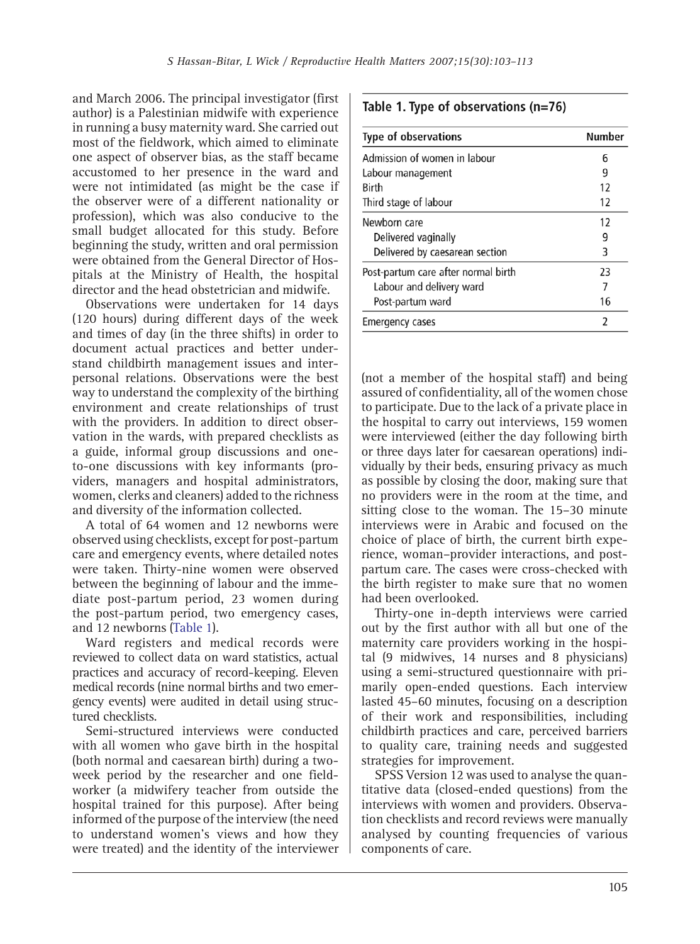and March 2006. The principal investigator (first author) is a Palestinian midwife with experience in running a busy maternity ward. She carried out most of the fieldwork, which aimed to eliminate one aspect of observer bias, as the staff became accustomed to her presence in the ward and were not intimidated (as might be the case if the observer were of a different nationality or profession), which was also conducive to the small budget allocated for this study. Before beginning the study, written and oral permission were obtained from the General Director of Hospitals at the Ministry of Health, the hospital director and the head obstetrician and midwife.

Observations were undertaken for 14 days (120 hours) during different days of the week and times of day (in the three shifts) in order to document actual practices and better understand childbirth management issues and interpersonal relations. Observations were the best way to understand the complexity of the birthing environment and create relationships of trust with the providers. In addition to direct observation in the wards, with prepared checklists as a guide, informal group discussions and oneto-one discussions with key informants (providers, managers and hospital administrators, women, clerks and cleaners) added to the richness and diversity of the information collected.

A total of 64 women and 12 newborns were observed using checklists, except for post-partum care and emergency events, where detailed notes were taken. Thirty-nine women were observed between the beginning of labour and the immediate post-partum period, 23 women during the post-partum period, two emergency cases, and 12 newborns (Table 1).

Ward registers and medical records were reviewed to collect data on ward statistics, actual practices and accuracy of record-keeping. Eleven medical records (nine normal births and two emergency events) were audited in detail using structured checklists.

Semi-structured interviews were conducted with all women who gave birth in the hospital (both normal and caesarean birth) during a twoweek period by the researcher and one fieldworker (a midwifery teacher from outside the hospital trained for this purpose). After being informed of the purpose of the interview (the need to understand women's views and how they were treated) and the identity of the interviewer

### Table 1. Type of observations  $(n=76)$

| <b>Type of observations</b>         | <b>Number</b> |
|-------------------------------------|---------------|
| Admission of women in labour        | 6             |
| Labour management                   | g             |
| Birth                               | 12            |
| Third stage of labour               | 12            |
| Newborn care                        | 12            |
| Delivered vaginally                 | 9             |
| Delivered by caesarean section      | 3             |
| Post-partum care after normal birth | 23            |
| Labour and delivery ward            | 7             |
| Post-partum ward                    | 16            |
| Emergency cases                     | 2             |

(not a member of the hospital staff) and being assured of confidentiality, all of the women chose to participate. Due to the lack of a private place in the hospital to carry out interviews, 159 women were interviewed (either the day following birth or three days later for caesarean operations) individually by their beds, ensuring privacy as much as possible by closing the door, making sure that no providers were in the room at the time, and sitting close to the woman. The 15–30 minute interviews were in Arabic and focused on the choice of place of birth, the current birth experience, woman–provider interactions, and postpartum care. The cases were cross-checked with the birth register to make sure that no women had been overlooked.

Thirty-one in-depth interviews were carried out by the first author with all but one of the maternity care providers working in the hospital (9 midwives, 14 nurses and 8 physicians) using a semi-structured questionnaire with primarily open-ended questions. Each interview lasted 45–60 minutes, focusing on a description of their work and responsibilities, including childbirth practices and care, perceived barriers to quality care, training needs and suggested strategies for improvement.

SPSS Version 12 was used to analyse the quantitative data (closed-ended questions) from the interviews with women and providers. Observation checklists and record reviews were manually analysed by counting frequencies of various components of care.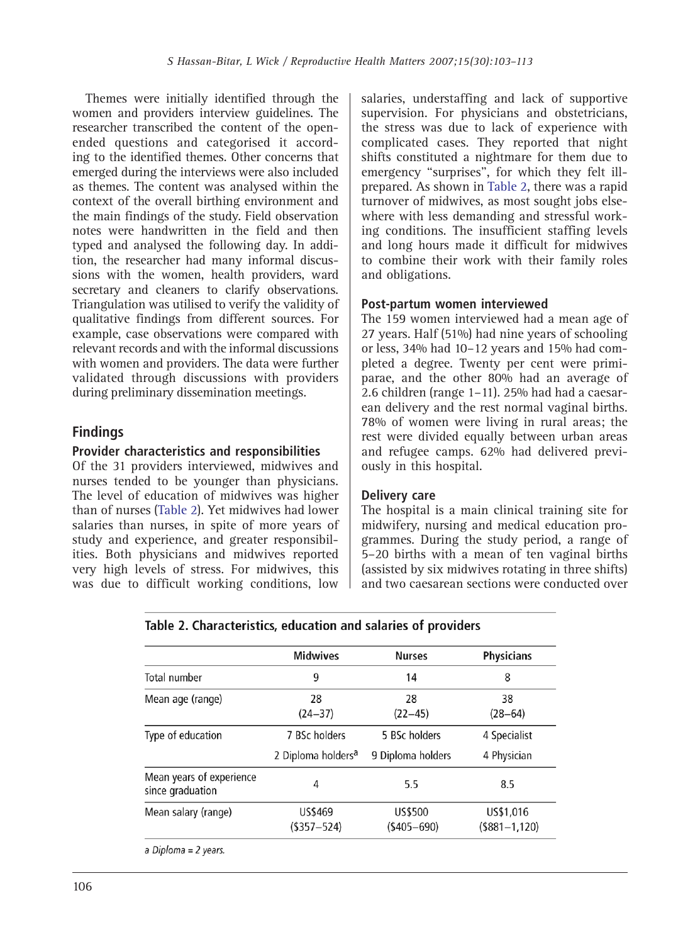Themes were initially identified through the women and providers interview guidelines. The researcher transcribed the content of the openended questions and categorised it according to the identified themes. Other concerns that emerged during the interviews were also included as themes. The content was analysed within the context of the overall birthing environment and the main findings of the study. Field observation notes were handwritten in the field and then typed and analysed the following day. In addition, the researcher had many informal discussions with the women, health providers, ward secretary and cleaners to clarify observations. Triangulation was utilised to verify the validity of qualitative findings from different sources. For example, case observations were compared with relevant records and with the informal discussions with women and providers. The data were further validated through discussions with providers during preliminary dissemination meetings.

## Findings

#### Provider characteristics and responsibilities

Of the 31 providers interviewed, midwives and nurses tended to be younger than physicians. The level of education of midwives was higher than of nurses (Table 2). Yet midwives had lower salaries than nurses, in spite of more years of study and experience, and greater responsibilities. Both physicians and midwives reported very high levels of stress. For midwives, this was due to difficult working conditions, low

salaries, understaffing and lack of supportive supervision. For physicians and obstetricians, the stress was due to lack of experience with complicated cases. They reported that night shifts constituted a nightmare for them due to emergency ''surprises'', for which they felt illprepared. As shown in Table 2, there was a rapid turnover of midwives, as most sought jobs elsewhere with less demanding and stressful working conditions. The insufficient staffing levels and long hours made it difficult for midwives to combine their work with their family roles and obligations.

#### Post-partum women interviewed

The 159 women interviewed had a mean age of 27 years. Half (51%) had nine years of schooling or less, 34% had 10–12 years and 15% had completed a degree. Twenty per cent were primiparae, and the other 80% had an average of 2.6 children (range 1–11). 25% had had a caesarean delivery and the rest normal vaginal births. 78% of women were living in rural areas; the rest were divided equally between urban areas and refugee camps. 62% had delivered previously in this hospital.

#### Delivery care

The hospital is a main clinical training site for midwifery, nursing and medical education programmes. During the study period, a range of 5–20 births with a mean of ten vaginal births (assisted by six midwives rotating in three shifts) and two caesarean sections were conducted over

| Table 2. Characteristics, education and salaries of providers |
|---------------------------------------------------------------|
|---------------------------------------------------------------|

|                                              | <b>Midwives</b>                | <b>Nurses</b>              | <b>Physicians</b>              |
|----------------------------------------------|--------------------------------|----------------------------|--------------------------------|
| Total number                                 | 9                              | 14                         | 8                              |
| Mean age (range)                             | 28<br>$(24 - 37)$              | 28<br>$(22 - 45)$          | 38<br>$(28 - 64)$              |
| Type of education                            | 7 BSc holders                  | 5 BSc holders              | 4 Specialist                   |
|                                              | 2 Diploma holders <sup>a</sup> | 9 Diploma holders          | 4 Physician                    |
| Mean years of experience<br>since graduation | 4                              | 5.5                        | 8.5                            |
| Mean salary (range)                          | US\$469<br>$($ \$357-524)      | US\$500<br>$( $405 - 690)$ | US\$1,016<br>$($881 - 1, 120)$ |
|                                              |                                |                            |                                |

a Diploma = 2 years.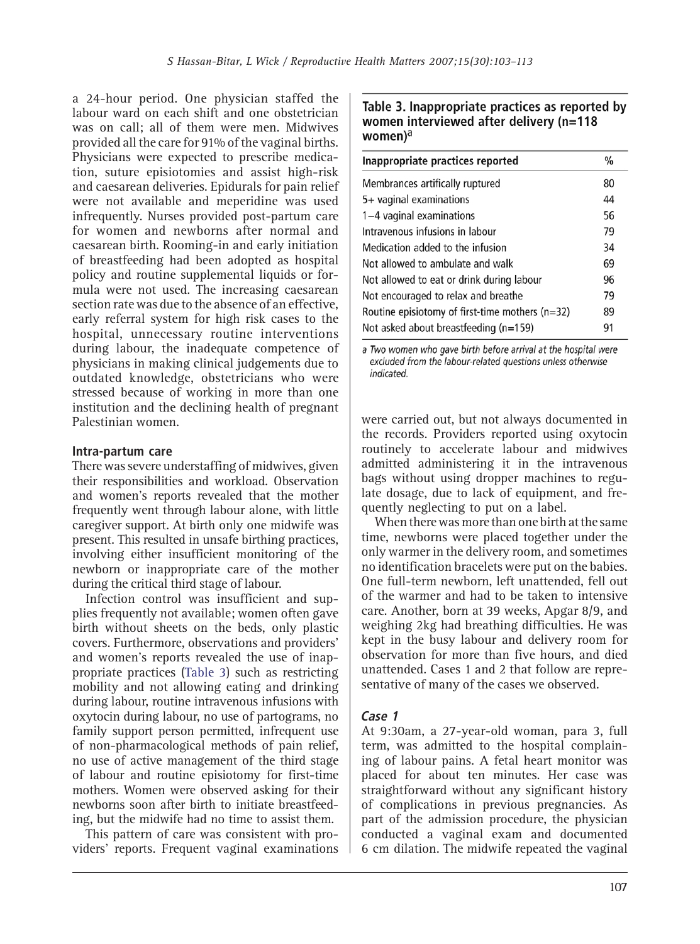a 24-hour period. One physician staffed the labour ward on each shift and one obstetrician was on call; all of them were men. Midwives provided all the care for 91% of the vaginal births. Physicians were expected to prescribe medication, suture episiotomies and assist high-risk and caesarean deliveries. Epidurals for pain relief were not available and meperidine was used infrequently. Nurses provided post-partum care for women and newborns after normal and caesarean birth. Rooming-in and early initiation of breastfeeding had been adopted as hospital policy and routine supplemental liquids or formula were not used. The increasing caesarean section rate was due to the absence of an effective, early referral system for high risk cases to the hospital, unnecessary routine interventions during labour, the inadequate competence of physicians in making clinical judgements due to outdated knowledge, obstetricians who were stressed because of working in more than one institution and the declining health of pregnant Palestinian women.

#### Intra-partum care

There was severe understaffing of midwives, given their responsibilities and workload. Observation and women's reports revealed that the mother frequently went through labour alone, with little caregiver support. At birth only one midwife was present. This resulted in unsafe birthing practices, involving either insufficient monitoring of the newborn or inappropriate care of the mother during the critical third stage of labour.

Infection control was insufficient and supplies frequently not available; women often gave birth without sheets on the beds, only plastic covers. Furthermore, observations and providers' and women's reports revealed the use of inappropriate practices (Table 3) such as restricting mobility and not allowing eating and drinking during labour, routine intravenous infusions with oxytocin during labour, no use of partograms, no family support person permitted, infrequent use of non-pharmacological methods of pain relief, no use of active management of the third stage of labour and routine episiotomy for first-time mothers. Women were observed asking for their newborns soon after birth to initiate breastfeeding, but the midwife had no time to assist them.

This pattern of care was consistent with providers' reports. Frequent vaginal examinations

#### Table 3. Inappropriate practices as reported by women interviewed after delivery (n=118 women)<sup>a</sup>

| Inappropriate practices reported                    | $\frac{0}{0}$ |
|-----------------------------------------------------|---------------|
| Membrances artifically ruptured                     | 80            |
| 5+ vaginal examinations                             | 44            |
| 1-4 vaginal examinations                            | 56            |
| Intravenous infusions in labour                     | 79            |
| Medication added to the infusion                    | 34            |
| Not allowed to ambulate and walk                    | 69            |
| Not allowed to eat or drink during labour           | 96            |
| Not encouraged to relax and breathe                 | 79            |
| Routine episiotomy of first-time mothers ( $n=32$ ) | 89            |
| Not asked about breastfeeding (n=159)               | 91            |
|                                                     |               |

a Two women who gave birth before arrival at the hospital were excluded from the labour-related questions unless otherwise indicated

were carried out, but not always documented in the records. Providers reported using oxytocin routinely to accelerate labour and midwives admitted administering it in the intravenous bags without using dropper machines to regulate dosage, due to lack of equipment, and frequently neglecting to put on a label.

When there was more than one birth at the same time, newborns were placed together under the only warmer in the delivery room, and sometimes no identification bracelets were put on the babies. One full-term newborn, left unattended, fell out of the warmer and had to be taken to intensive care. Another, born at 39 weeks, Apgar 8/9, and weighing 2kg had breathing difficulties. He was kept in the busy labour and delivery room for observation for more than five hours, and died unattended. Cases 1 and 2 that follow are representative of many of the cases we observed.

#### Case 1

At 9:30am, a 27-year-old woman, para 3, full term, was admitted to the hospital complaining of labour pains. A fetal heart monitor was placed for about ten minutes. Her case was straightforward without any significant history of complications in previous pregnancies. As part of the admission procedure, the physician conducted a vaginal exam and documented 6 cm dilation. The midwife repeated the vaginal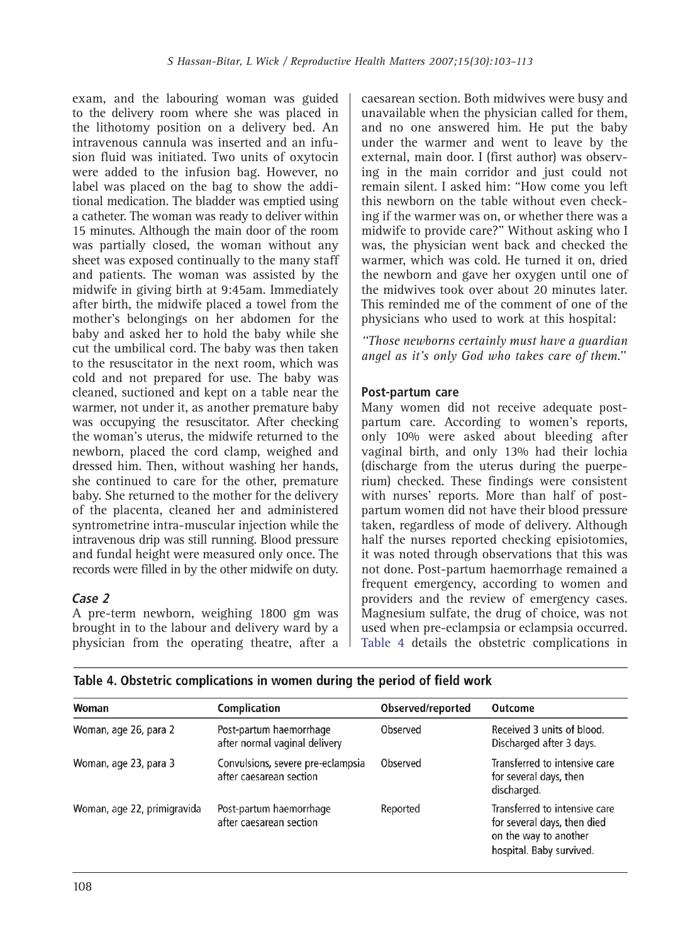exam, and the labouring woman was guided to the delivery room where she was placed in the lithotomy position on a delivery bed. An intravenous cannula was inserted and an infusion fluid was initiated. Two units of oxytocin were added to the infusion bag. However, no label was placed on the bag to show the additional medication. The bladder was emptied using a catheter. The woman was ready to deliver within 15 minutes. Although the main door of the room was partially closed, the woman without any sheet was exposed continually to the many staff and patients. The woman was assisted by the midwife in giving birth at 9:45am. Immediately after birth, the midwife placed a towel from the mother's belongings on her abdomen for the baby and asked her to hold the baby while she cut the umbilical cord. The baby was then taken to the resuscitator in the next room, which was cold and not prepared for use. The baby was cleaned, suctioned and kept on a table near the warmer, not under it, as another premature baby was occupying the resuscitator. After checking the woman's uterus, the midwife returned to the newborn, placed the cord clamp, weighed and dressed him. Then, without washing her hands, she continued to care for the other, premature baby. She returned to the mother for the delivery of the placenta, cleaned her and administered syntrometrine intra-muscular injection while the intravenous drip was still running. Blood pressure and fundal height were measured only once. The records were filled in by the other midwife on duty.

#### Case 2

A pre-term newborn, weighing 1800 gm was brought in to the labour and delivery ward by a physician from the operating theatre, after a caesarean section. Both midwives were busy and unavailable when the physician called for them, and no one answered him. He put the baby under the warmer and went to leave by the external, main door. I (first author) was observing in the main corridor and just could not remain silent. I asked him: ''How come you left this newborn on the table without even checking if the warmer was on, or whether there was a midwife to provide care?'' Without asking who I was, the physician went back and checked the warmer, which was cold. He turned it on, dried the newborn and gave her oxygen until one of the midwives took over about 20 minutes later. This reminded me of the comment of one of the physicians who used to work at this hospital:

''Those newborns certainly must have a guardian angel as it's only God who takes care of them.''

## Post-partum care

Many women did not receive adequate postpartum care. According to women's reports, only 10% were asked about bleeding after vaginal birth, and only 13% had their lochia (discharge from the uterus during the puerperium) checked. These findings were consistent with nurses' reports. More than half of postpartum women did not have their blood pressure taken, regardless of mode of delivery. Although half the nurses reported checking episiotomies, it was noted through observations that this was not done. Post-partum haemorrhage remained a frequent emergency, according to women and providers and the review of emergency cases. Magnesium sulfate, the drug of choice, was not used when pre-eclampsia or eclampsia occurred. Table 4 details the obstetric complications in

| Woman                       | Complication                                                 | Observed/reported | Outcome                                                                                                           |
|-----------------------------|--------------------------------------------------------------|-------------------|-------------------------------------------------------------------------------------------------------------------|
| Woman, age 26, para 2       | Post-partum haemorrhage<br>after normal vaginal delivery     | Observed          | Received 3 units of blood.<br>Discharged after 3 days.                                                            |
| Woman, age 23, para 3       | Convulsions, severe pre-eclampsia<br>after caesarean section | Observed          | Transferred to intensive care<br>for several days, then<br>discharged.                                            |
| Woman, age 22, primigravida | Post-partum haemorrhage<br>after caesarean section           | Reported          | Transferred to intensive care<br>for several days, then died<br>on the way to another<br>hospital. Baby survived. |

Table 4. Obstetric complications in women during the period of field work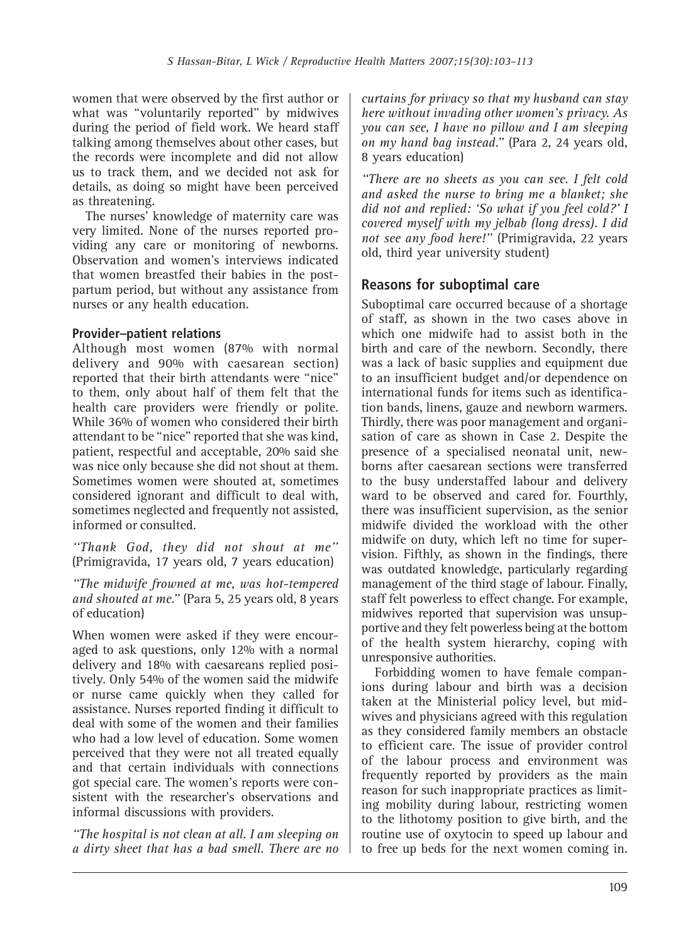women that were observed by the first author or what was ''voluntarily reported'' by midwives during the period of field work. We heard staff talking among themselves about other cases, but the records were incomplete and did not allow us to track them, and we decided not ask for details, as doing so might have been perceived as threatening.

The nurses' knowledge of maternity care was very limited. None of the nurses reported providing any care or monitoring of newborns. Observation and women's interviews indicated that women breastfed their babies in the postpartum period, but without any assistance from nurses or any health education.

#### Provider–patient relations

Although most women (87% with normal delivery and 90% with caesarean section) reported that their birth attendants were ''nice'' to them, only about half of them felt that the health care providers were friendly or polite. While 36% of women who considered their birth attendant to be ''nice'' reported that she was kind, patient, respectful and acceptable, 20% said she was nice only because she did not shout at them. Sometimes women were shouted at, sometimes considered ignorant and difficult to deal with, sometimes neglected and frequently not assisted, informed or consulted.

''Thank God, they did not shout at me'' (Primigravida, 17 years old, 7 years education)

''The midwife frowned at me, was hot-tempered and shouted at me.'' (Para 5, 25 years old, 8 years of education)

When women were asked if they were encouraged to ask questions, only 12% with a normal delivery and 18% with caesareans replied positively. Only 54% of the women said the midwife or nurse came quickly when they called for assistance. Nurses reported finding it difficult to deal with some of the women and their families who had a low level of education. Some women perceived that they were not all treated equally and that certain individuals with connections got special care. The women's reports were consistent with the researcher's observations and informal discussions with providers.

''The hospital is not clean at all. I am sleeping on a dirty sheet that has a bad smell. There are no

curtains for privacy so that my husband can stay here without invading other women's privacy. As you can see, I have no pillow and I am sleeping on my hand bag instead.'' (Para 2, 24 years old, 8 years education)

''There are no sheets as you can see. I felt cold and asked the nurse to bring me a blanket; she did not and replied: 'So what if you feel cold?' I covered myself with my jelbab (long dress). I did not see any food here!'' (Primigravida, 22 years old, third year university student)

# Reasons for suboptimal care

Suboptimal care occurred because of a shortage of staff, as shown in the two cases above in which one midwife had to assist both in the birth and care of the newborn. Secondly, there was a lack of basic supplies and equipment due to an insufficient budget and/or dependence on international funds for items such as identification bands, linens, gauze and newborn warmers. Thirdly, there was poor management and organisation of care as shown in Case 2. Despite the presence of a specialised neonatal unit, newborns after caesarean sections were transferred to the busy understaffed labour and delivery ward to be observed and cared for. Fourthly, there was insufficient supervision, as the senior midwife divided the workload with the other midwife on duty, which left no time for supervision. Fifthly, as shown in the findings, there was outdated knowledge, particularly regarding management of the third stage of labour. Finally, staff felt powerless to effect change. For example, midwives reported that supervision was unsupportive and they felt powerless being at the bottom of the health system hierarchy, coping with unresponsive authorities.

Forbidding women to have female companions during labour and birth was a decision taken at the Ministerial policy level, but midwives and physicians agreed with this regulation as they considered family members an obstacle to efficient care. The issue of provider control of the labour process and environment was frequently reported by providers as the main reason for such inappropriate practices as limiting mobility during labour, restricting women to the lithotomy position to give birth, and the routine use of oxytocin to speed up labour and to free up beds for the next women coming in.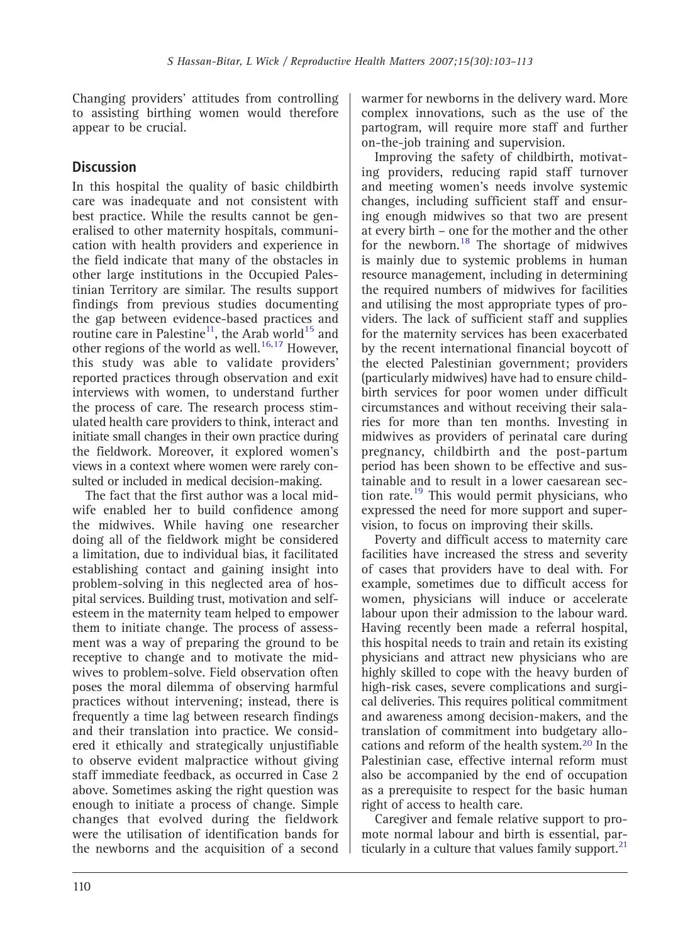Changing providers' attitudes from controlling to assisting birthing women would therefore appear to be crucial.

# **Discussion**

In this hospital the quality of basic childbirth care was inadequate and not consistent with best practice. While the results cannot be generalised to other maternity hospitals, communication with health providers and experience in the field indicate that many of the obstacles in other large institutions in the Occupied Palestinian Territory are similar. The results support findings from previous studies documenting the gap between evidence-based practices and rou[t](#page-10-0)ine care in Palestine<sup>11</sup>, the Arab world<sup>15</sup> and other regions of the world as well.<sup>[16,17](#page-10-0)</sup> However, this study was able to validate providers' reported practices through observation and exit interviews with women, to understand further the process of care. The research process stimulated health care providers to think, interact and initiate small changes in their own practice during the fieldwork. Moreover, it explored women's views in a context where women were rarely consulted or included in medical decision-making.

The fact that the first author was a local midwife enabled her to build confidence among the midwives. While having one researcher doing all of the fieldwork might be considered a limitation, due to individual bias, it facilitated establishing contact and gaining insight into problem-solving in this neglected area of hospital services. Building trust, motivation and selfesteem in the maternity team helped to empower them to initiate change. The process of assessment was a way of preparing the ground to be receptive to change and to motivate the midwives to problem-solve. Field observation often poses the moral dilemma of observing harmful practices without intervening; instead, there is frequently a time lag between research findings and their translation into practice. We considered it ethically and strategically unjustifiable to observe evident malpractice without giving staff immediate feedback, as occurred in Case 2 above. Sometimes asking the right question was enough to initiate a process of change. Simple changes that evolved during the fieldwork were the utilisation of identification bands for the newborns and the acquisition of a second

warmer for newborns in the delivery ward. More complex innovations, such as the use of the partogram, will require more staff and further on-the-job training and supervision.

Improving the safety of childbirth, motivating providers, reducing rapid staff turnover and meeting women's needs involve systemic changes, including sufficient staff and ensuring enough midwives so that two are present at every birth – one for the mother and the other for the newborn.<sup>[18](#page-10-0)</sup> The shortage of midwives is mainly due to systemic problems in human resource management, including in determining the required numbers of midwives for facilities and utilising the most appropriate types of providers. The lack of sufficient staff and supplies for the maternity services has been exacerbated by the recent international financial boycott of the elected Palestinian government; providers (particularly midwives) have had to ensure childbirth services for poor women under difficult circumstances and without receiving their salaries for more than ten months. Investing in midwives as providers of perinatal care during pregnancy, childbirth and the post-partum period has been shown to be effective and sustainable and to result in a lower caesarean sec-tion rate.<sup>[19](#page-10-0)</sup> This would permit physicians, who expressed the need for more support and supervision, to focus on improving their skills.

Poverty and difficult access to maternity care facilities have increased the stress and severity of cases that providers have to deal with. For example, sometimes due to difficult access for women, physicians will induce or accelerate labour upon their admission to the labour ward. Having recently been made a referral hospital, this hospital needs to train and retain its existing physicians and attract new physicians who are highly skilled to cope with the heavy burden of high-risk cases, severe complications and surgical deliveries. This requires political commitment and awareness among decision-makers, and the translation of commitment into budgetary allocations and reform of the health system.[20](#page-10-0) In the Palestinian case, effective internal reform must also be accompanied by the end of occupation as a prerequisite to respect for the basic human right of access to health care.

Caregiver and female relative support to promote normal labour and birth is essential, particularly in a culture that values family support. $21$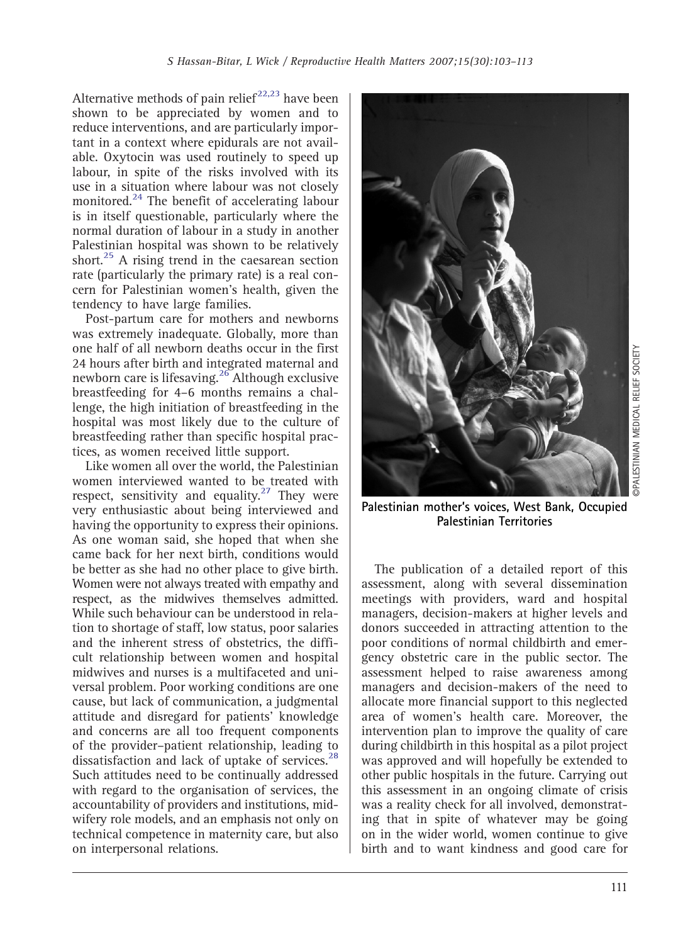Alternative methods of pain relief<sup>[22,23](#page-10-0)</sup> have been shown to be appreciated by women and to reduce interventions, and are particularly important in a context where epidurals are not available. Oxytocin was used routinely to speed up labour, in spite of the risks involved with its use in a situation where labour was not closely monitored.[24](#page-10-0) The benefit of accelerating labour is in itself questionable, particularly where the normal duration of labour in a study in another Palestinian hospital was shown to be relatively short.<sup>[25](#page-11-0)</sup> A rising trend in the caesarean section rate (particularly the primary rate) is a real concern for Palestinian women's health, given the tendency to have large families.

Post-partum care for mothers and newborns was extremely inadequate. Globally, more than one half of all newborn deaths occur in the first 24 hours after birth and integrated maternal and newborn care is lifesaving.<sup>[26](#page-11-0)</sup> Although exclusive breastfeeding for 4–6 months remains a challenge, the high initiation of breastfeeding in the hospital was most likely due to the culture of breastfeeding rather than specific hospital practices, as women received little support.

Like women all over the world, the Palestinian women interviewed wanted to be treated with respect, sensitivity and equality.<sup>[27](#page-11-0)</sup> They were very enthusiastic about being interviewed and having the opportunity to express their opinions. As one woman said, she hoped that when she came back for her next birth, conditions would be better as she had no other place to give birth. Women were not always treated with empathy and respect, as the midwives themselves admitted. While such behaviour can be understood in relation to shortage of staff, low status, poor salaries and the inherent stress of obstetrics, the difficult relationship between women and hospital midwives and nurses is a multifaceted and universal problem. Poor working conditions are one cause, but lack of communication, a judgmental attitude and disregard for patients' knowledge and concerns are all too frequent components of the provider–patient relationship, leading to dissatisfaction and lack of uptake of services.<sup>[28](#page-11-0)</sup> Such attitudes need to be continually addressed with regard to the organisation of services, the accountability of providers and institutions, midwifery role models, and an emphasis not only on technical competence in maternity care, but also on interpersonal relations.



Palestinian mother's voices, West Bank, Occupied Palestinian Territories

The publication of a detailed report of this assessment, along with several dissemination meetings with providers, ward and hospital managers, decision-makers at higher levels and donors succeeded in attracting attention to the poor conditions of normal childbirth and emergency obstetric care in the public sector. The assessment helped to raise awareness among managers and decision-makers of the need to allocate more financial support to this neglected area of women's health care. Moreover, the intervention plan to improve the quality of care during childbirth in this hospital as a pilot project was approved and will hopefully be extended to other public hospitals in the future. Carrying out this assessment in an ongoing climate of crisis was a reality check for all involved, demonstrating that in spite of whatever may be going on in the wider world, women continue to give birth and to want kindness and good care for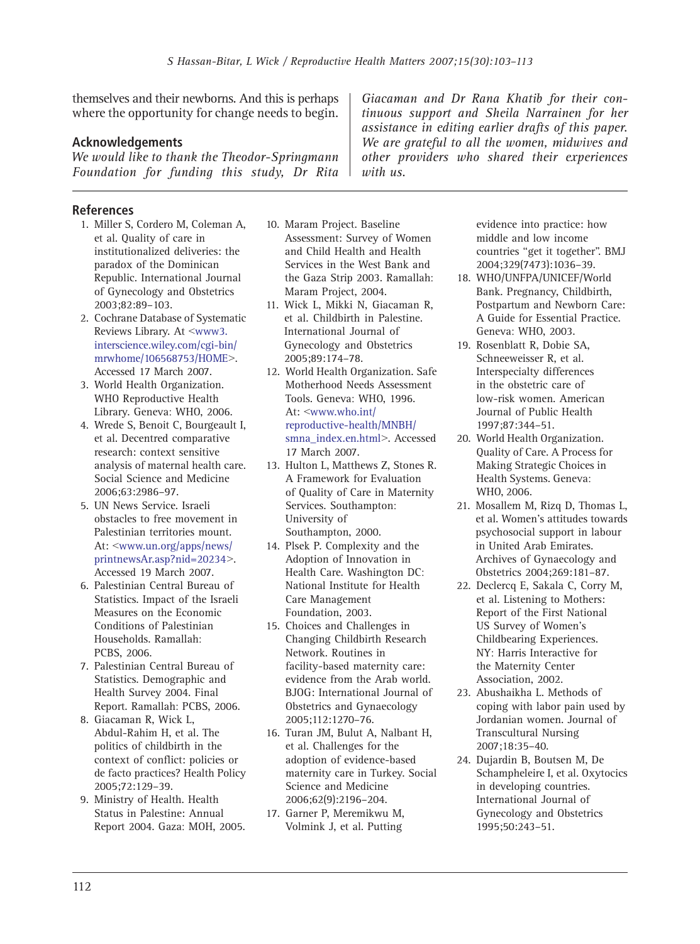<span id="page-10-0"></span>themselves and their newborns. And this is perhaps where the opportunity for change needs to begin.

#### Acknowledgements

We would like to thank the Theodor-Springmann Foundation for funding this study, Dr Rita

#### References

- 1. Miller S, Cordero M, Coleman A, et al. Quality of care in institutionalized deliveries: the paradox of the Dominican Republic. International Journal of Gynecology and Obstetrics 2003;82:89–103.
- 2. Cochrane Database of Systematic Reviews Library. At <[www3.](http://www3.interscience.wiley.com/cgi-bin/mrwhome/106568753/HOME) [interscience.wiley.com/cgi-bin/](http://www3.interscience.wiley.com/cgi-bin/mrwhome/106568753/HOME) [mrwhome/106568753/HOME](http://www3.interscience.wiley.com/cgi-bin/mrwhome/106568753/HOME)>. Accessed 17 March 2007.
- 3. World Health Organization. WHO Reproductive Health Library. Geneva: WHO, 2006.
- 4. Wrede S, Benoit C, Bourgeault I, et al. Decentred comparative research: context sensitive analysis of maternal health care. Social Science and Medicine 2006;63:2986–97.
- 5. UN News Service. Israeli obstacles to free movement in Palestinian territories mount. At: <[www.un.org/apps/news/](http://www.un.org/apps/news/printnewsAr.asp?nid=20234) [printnewsAr.asp?nid=20234](http://www.un.org/apps/news/printnewsAr.asp?nid=20234)>. Accessed 19 March 2007.
- 6. Palestinian Central Bureau of Statistics. Impact of the Israeli Measures on the Economic Conditions of Palestinian Households. Ramallah: PCBS, 2006.
- 7. Palestinian Central Bureau of Statistics. Demographic and Health Survey 2004. Final Report. Ramallah: PCBS, 2006.
- 8. Giacaman R, Wick L, Abdul-Rahim H, et al. The politics of childbirth in the context of conflict: policies or de facto practices? Health Policy 2005;72:129–39.
- 9. Ministry of Health. Health Status in Palestine: Annual Report 2004. Gaza: MOH, 2005.
- 10. Maram Project. Baseline Assessment: Survey of Women and Child Health and Health Services in the West Bank and the Gaza Strip 2003. Ramallah: Maram Project, 2004.
- 11. Wick L, Mikki N, Giacaman R, et al. Childbirth in Palestine. International Journal of Gynecology and Obstetrics 2005;89:174–78.
- 12. World Health Organization. Safe Motherhood Needs Assessment Tools. Geneva: WHO, 1996. At:  $\langle$ [www.who.int/](http://www.who.int/reproductive-health/MNBH/smna_index.en.html) [reproductive-health/MNBH/](http://www.who.int/reproductive-health/MNBH/smna_index.en.html) [smna\\_index.en.html](http://www.who.int/reproductive-health/MNBH/smna_index.en.html)>. Accessed 17 March 2007.
- 13. Hulton L, Matthews Z, Stones R. A Framework for Evaluation of Quality of Care in Maternity Services. Southampton: University of Southampton, 2000.
- 14. Plsek P. Complexity and the Adoption of Innovation in Health Care. Washington DC: National Institute for Health Care Management Foundation, 2003.
- 15. Choices and Challenges in Changing Childbirth Research Network. Routines in facility-based maternity care: evidence from the Arab world. BJOG: International Journal of Obstetrics and Gynaecology 2005;112:1270–76.
- 16. Turan JM, Bulut A, Nalbant H, et al. Challenges for the adoption of evidence-based maternity care in Turkey. Social Science and Medicine 2006;62(9):2196–204.
- 17. Garner P, Meremikwu M, Volmink J, et al. Putting

Giacaman and Dr Rana Khatib for their continuous support and Sheila Narrainen for her assistance in editing earlier drafts of this paper. We are grateful to all the women, midwives and other providers who shared their experiences with us.

> evidence into practice: how middle and low income countries ''get it together''. BMJ 2004;329(7473):1036–39.

- 18. WHO/UNFPA/UNICEF/World Bank. Pregnancy, Childbirth, Postpartum and Newborn Care: A Guide for Essential Practice.  $Geneva: WHO, 2003$
- 19. Rosenblatt R, Dobie SA, Schneeweisser R, et al. Interspecialty differences in the obstetric care of low-risk women. American Journal of Public Health 1997;87:344–51.
- 20. World Health Organization. Quality of Care. A Process for Making Strategic Choices in Health Systems. Geneva: WHO, 2006.
- 21. Mosallem M, Rizq D, Thomas L, et al. Women's attitudes towards psychosocial support in labour in United Arab Emirates. Archives of Gynaecology and Obstetrics 2004;269:181–87.
- 22. Declercq E, Sakala C, Corry M, et al. Listening to Mothers: Report of the First National US Survey of Women's Childbearing Experiences. NY<sup>.</sup> Harris Interactive for the Maternity Center Association, 2002.
- 23. Abushaikha L. Methods of coping with labor pain used by Jordanian women. Journal of Transcultural Nursing 2007;18:35–40.
- 24. Dujardin B, Boutsen M, De Schampheleire I, et al. Oxytocics in developing countries. International Journal of Gynecology and Obstetrics 1995;50:243–51.